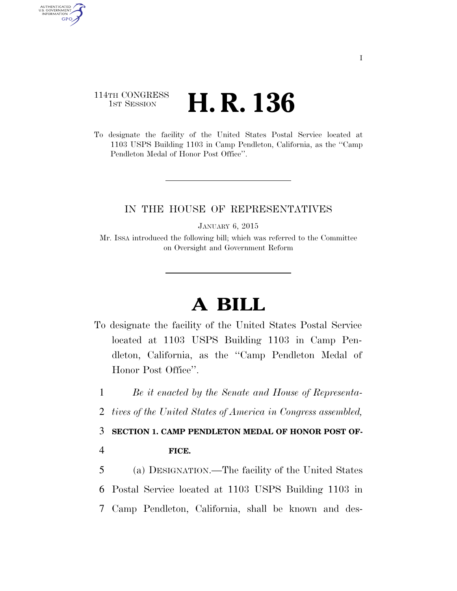## 114TH CONGRESS 1st Session **H. R. 136**

AUTHENTICATED U.S. GOVERNMENT **GPO** 

> To designate the facility of the United States Postal Service located at 1103 USPS Building 1103 in Camp Pendleton, California, as the ''Camp Pendleton Medal of Honor Post Office".

## IN THE HOUSE OF REPRESENTATIVES

JANUARY 6, 2015

Mr. ISSA introduced the following bill; which was referred to the Committee on Oversight and Government Reform

## **A BILL**

To designate the facility of the United States Postal Service located at 1103 USPS Building 1103 in Camp Pendleton, California, as the ''Camp Pendleton Medal of Honor Post Office''.

1 *Be it enacted by the Senate and House of Representa-*

2 *tives of the United States of America in Congress assembled,* 

3 **SECTION 1. CAMP PENDLETON MEDAL OF HONOR POST OF-**

4 **FICE.** 

5 (a) DESIGNATION.—The facility of the United States 6 Postal Service located at 1103 USPS Building 1103 in 7 Camp Pendleton, California, shall be known and des